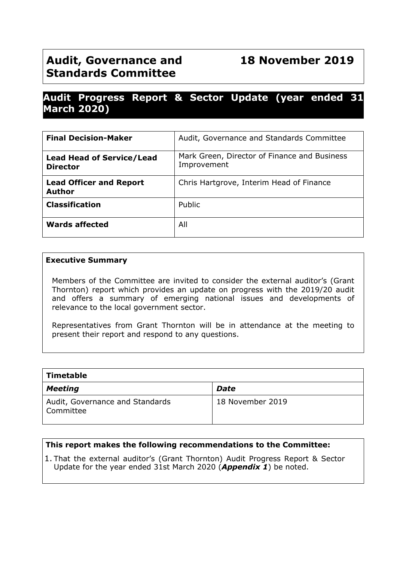# **Audit, Governance and 18 November 2019 Standards Committee**

# **Audit Progress Report & Sector Update (year ended 31 March 2020)**

| <b>Final Decision-Maker</b>                         | Audit, Governance and Standards Committee                   |
|-----------------------------------------------------|-------------------------------------------------------------|
| <b>Lead Head of Service/Lead</b><br><b>Director</b> | Mark Green, Director of Finance and Business<br>Improvement |
| <b>Lead Officer and Report</b><br><b>Author</b>     | Chris Hartgrove, Interim Head of Finance                    |
| <b>Classification</b>                               | Public                                                      |
| <b>Wards affected</b>                               | All                                                         |

#### **Executive Summary**

Members of the Committee are invited to consider the external auditor's (Grant Thornton) report which provides an update on progress with the 2019/20 audit and offers a summary of emerging national issues and developments of relevance to the local government sector.

Representatives from Grant Thornton will be in attendance at the meeting to present their report and respond to any questions.

| Timetable                                    |                  |  |  |  |
|----------------------------------------------|------------------|--|--|--|
| <b>Meeting</b>                               | <b>Date</b>      |  |  |  |
| Audit, Governance and Standards<br>Committee | 18 November 2019 |  |  |  |

## **This report makes the following recommendations to the Committee:**

1. That the external auditor's (Grant Thornton) Audit Progress Report & Sector Update for the year ended 31st March 2020 (*Appendix 1*) be noted.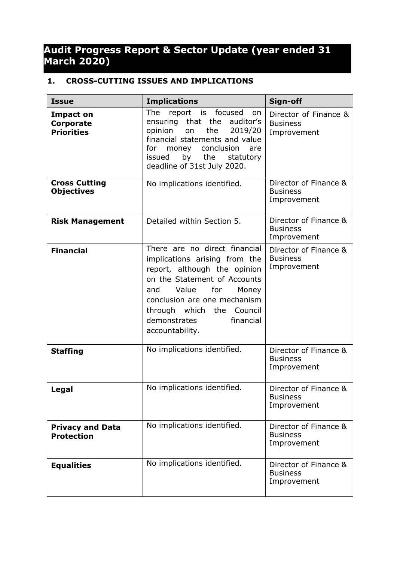# **Audit Progress Report & Sector Update (year ended 31 March 2020)**

# **1. CROSS-CUTTING ISSUES AND IMPLICATIONS**

| <b>Issue</b>                                       | <b>Implications</b>                                                                                                                                                                                                                                                            | Sign-off                                                |
|----------------------------------------------------|--------------------------------------------------------------------------------------------------------------------------------------------------------------------------------------------------------------------------------------------------------------------------------|---------------------------------------------------------|
| <b>Impact on</b><br>Corporate<br><b>Priorities</b> | The<br>report is focused<br>on<br>the auditor's<br>ensuring that<br>the<br>opinion<br>2019/20<br>on<br>financial statements and value<br>conclusion<br>for.<br>money<br>are<br>by the<br>issued<br>statutory<br>deadline of 31st July 2020.                                    | Director of Finance &<br><b>Business</b><br>Improvement |
| <b>Cross Cutting</b><br><b>Objectives</b>          | No implications identified.                                                                                                                                                                                                                                                    | Director of Finance &<br><b>Business</b><br>Improvement |
| <b>Risk Management</b>                             | Detailed within Section 5.                                                                                                                                                                                                                                                     | Director of Finance &<br><b>Business</b><br>Improvement |
| <b>Financial</b>                                   | There are no direct financial<br>implications arising from the<br>report, although the opinion<br>on the Statement of Accounts<br>for<br>Value<br>Money<br>and<br>conclusion are one mechanism<br>through which the<br>Council<br>demonstrates<br>financial<br>accountability. | Director of Finance &<br><b>Business</b><br>Improvement |
| <b>Staffing</b>                                    | No implications identified.                                                                                                                                                                                                                                                    | Director of Finance &<br><b>Business</b><br>Improvement |
| Legal                                              | No implications identified.                                                                                                                                                                                                                                                    | Director of Finance &<br><b>Business</b><br>Improvement |
| <b>Privacy and Data</b><br><b>Protection</b>       | No implications identified.                                                                                                                                                                                                                                                    | Director of Finance &<br><b>Business</b><br>Improvement |
| <b>Equalities</b>                                  | No implications identified.                                                                                                                                                                                                                                                    | Director of Finance &<br><b>Business</b><br>Improvement |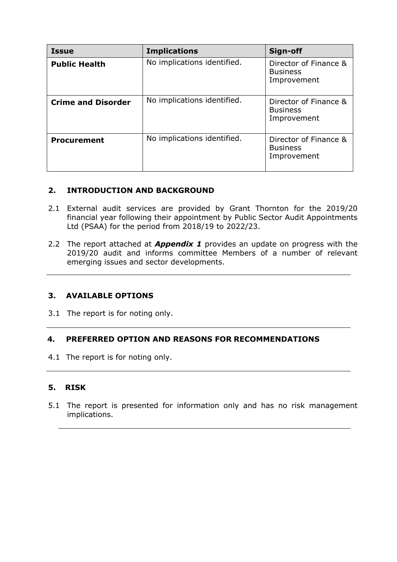| <b>Issue</b>              | <b>Implications</b>         | Sign-off                                                |
|---------------------------|-----------------------------|---------------------------------------------------------|
| <b>Public Health</b>      | No implications identified. | Director of Finance &<br><b>Business</b><br>Improvement |
| <b>Crime and Disorder</b> | No implications identified. | Director of Finance &<br><b>Business</b><br>Improvement |
| <b>Procurement</b>        | No implications identified. | Director of Finance &<br><b>Business</b><br>Improvement |

## **2. INTRODUCTION AND BACKGROUND**

- 2.1 External audit services are provided by Grant Thornton for the 2019/20 financial year following their appointment by Public Sector Audit Appointments Ltd (PSAA) for the period from 2018/19 to 2022/23.
- 2.2 The report attached at *Appendix 1* provides an update on progress with the 2019/20 audit and informs committee Members of a number of relevant emerging issues and sector developments.

## **3. AVAILABLE OPTIONS**

3.1 The report is for noting only.

## **4. PREFERRED OPTION AND REASONS FOR RECOMMENDATIONS**

4.1 The report is for noting only.

## **5. RISK**

5.1 The report is presented for information only and has no risk management implications.